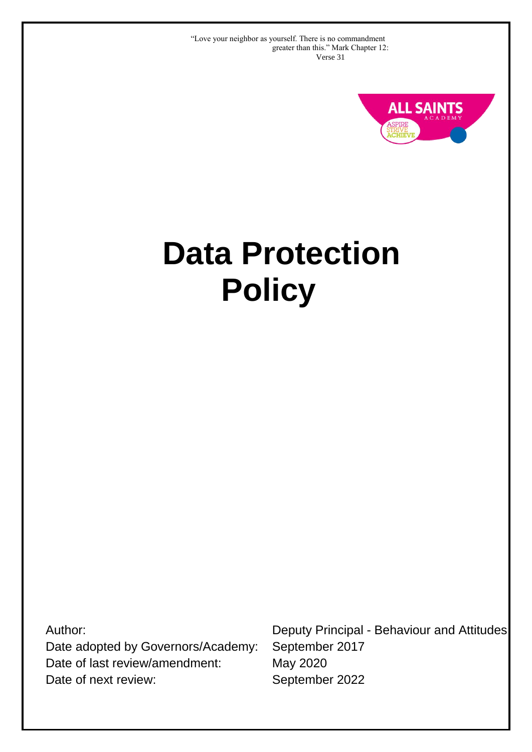"Love your neighbor as yourself. There is no commandment greater than this." Mark Chapter 12: Verse 31



# **Data Protection Policy**

Author:

Date adopted by Governors/Academy: Date of last review/amendment: Date of next review:

Deputy Principal - Behaviour and Attitudes September 2017 May 2020 September 2022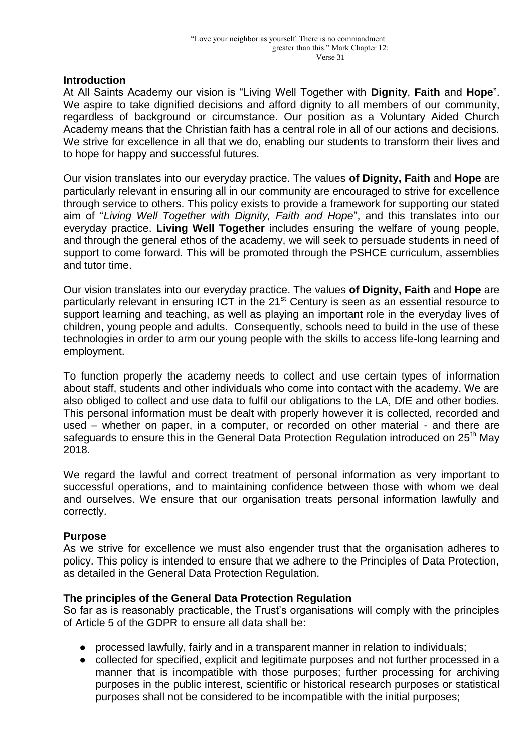#### **Introduction**

At All Saints Academy our vision is "Living Well Together with **Dignity**, **Faith** and **Hope**". We aspire to take dignified decisions and afford dignity to all members of our community, regardless of background or circumstance. Our position as a Voluntary Aided Church Academy means that the Christian faith has a central role in all of our actions and decisions. We strive for excellence in all that we do, enabling our students to transform their lives and to hope for happy and successful futures.

Our vision translates into our everyday practice. The values **of Dignity, Faith** and **Hope** are particularly relevant in ensuring all in our community are encouraged to strive for excellence through service to others. This policy exists to provide a framework for supporting our stated aim of "*Living Well Together with Dignity, Faith and Hope*", and this translates into our everyday practice. **Living Well Together** includes ensuring the welfare of young people, and through the general ethos of the academy, we will seek to persuade students in need of support to come forward. This will be promoted through the PSHCE curriculum, assemblies and tutor time.

Our vision translates into our everyday practice. The values **of Dignity, Faith** and **Hope** are particularly relevant in ensuring ICT in the 21<sup>st</sup> Century is seen as an essential resource to support learning and teaching, as well as playing an important role in the everyday lives of children, young people and adults. Consequently, schools need to build in the use of these technologies in order to arm our young people with the skills to access life-long learning and employment.

To function properly the academy needs to collect and use certain types of information about staff, students and other individuals who come into contact with the academy. We are also obliged to collect and use data to fulfil our obligations to the LA, DfE and other bodies. This personal information must be dealt with properly however it is collected, recorded and used – whether on paper, in a computer, or recorded on other material - and there are safeguards to ensure this in the General Data Protection Regulation introduced on 25<sup>th</sup> May 2018.

We regard the lawful and correct treatment of personal information as very important to successful operations, and to maintaining confidence between those with whom we deal and ourselves. We ensure that our organisation treats personal information lawfully and correctly.

#### **Purpose**

As we strive for excellence we must also engender trust that the organisation adheres to policy. This policy is intended to ensure that we adhere to the Principles of Data Protection, as detailed in the General Data Protection Regulation.

#### **The principles of the General Data Protection Regulation**

So far as is reasonably practicable, the Trust's organisations will comply with the principles of Article 5 of the GDPR to ensure all data shall be:

- processed lawfully, fairly and in a transparent manner in relation to individuals;
- collected for specified, explicit and legitimate purposes and not further processed in a manner that is incompatible with those purposes; further processing for archiving purposes in the public interest, scientific or historical research purposes or statistical purposes shall not be considered to be incompatible with the initial purposes;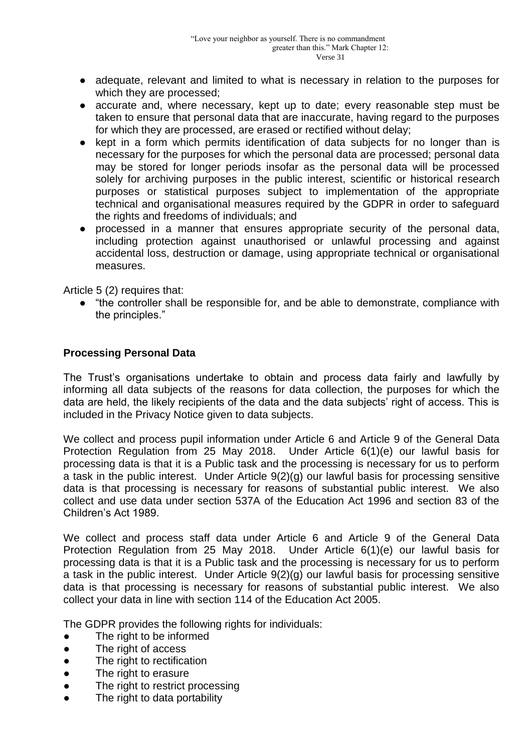- adequate, relevant and limited to what is necessary in relation to the purposes for which they are processed;
- accurate and, where necessary, kept up to date; every reasonable step must be taken to ensure that personal data that are inaccurate, having regard to the purposes for which they are processed, are erased or rectified without delay;
- kept in a form which permits identification of data subiects for no longer than is necessary for the purposes for which the personal data are processed; personal data may be stored for longer periods insofar as the personal data will be processed solely for archiving purposes in the public interest, scientific or historical research purposes or statistical purposes subject to implementation of the appropriate technical and organisational measures required by the GDPR in order to safeguard the rights and freedoms of individuals; and
- processed in a manner that ensures appropriate security of the personal data, including protection against unauthorised or unlawful processing and against accidental loss, destruction or damage, using appropriate technical or organisational measures.

Article 5 (2) requires that:

● "the controller shall be responsible for, and be able to demonstrate, compliance with the principles."

#### **Processing Personal Data**

The Trust's organisations undertake to obtain and process data fairly and lawfully by informing all data subjects of the reasons for data collection, the purposes for which the data are held, the likely recipients of the data and the data subjects' right of access. This is included in the Privacy Notice given to data subjects.

We collect and process pupil information under Article 6 and Article 9 of the General Data Protection Regulation from 25 May 2018. Under Article 6(1)(e) our lawful basis for processing data is that it is a Public task and the processing is necessary for us to perform a task in the public interest. Under Article 9(2)(g) our lawful basis for processing sensitive data is that processing is necessary for reasons of substantial public interest. We also collect and use data under section 537A of the Education Act 1996 and section 83 of the Children's Act 1989.

We collect and process staff data under Article 6 and Article 9 of the General Data Protection Regulation from 25 May 2018. Under Article 6(1)(e) our lawful basis for processing data is that it is a Public task and the processing is necessary for us to perform a task in the public interest. Under Article 9(2)(g) our lawful basis for processing sensitive data is that processing is necessary for reasons of substantial public interest. We also collect your data in line with section 114 of the Education Act 2005.

The GDPR provides the following rights for individuals:

- The right to be informed
- The right of access
- The right to rectification
- The right to erasure
- The right to restrict processing
- The right to data portability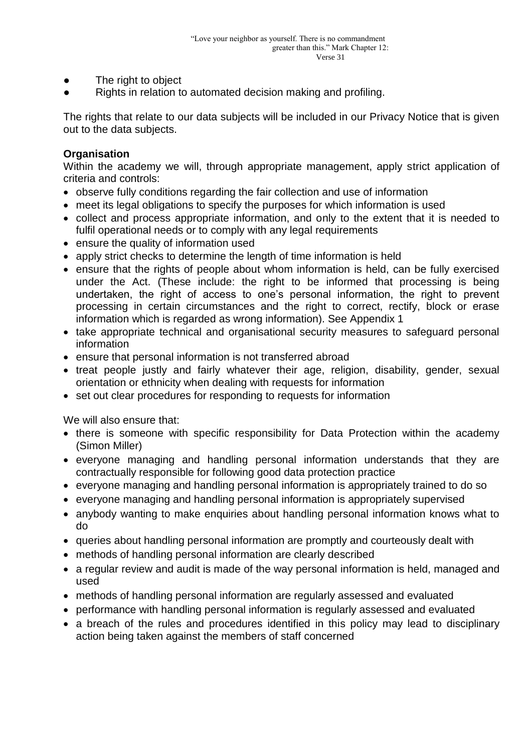- The right to object
- Rights in relation to automated decision making and profiling.

The rights that relate to our data subjects will be included in our Privacy Notice that is given out to the data subjects.

## **Organisation**

Within the academy we will, through appropriate management, apply strict application of criteria and controls:

- observe fully conditions regarding the fair collection and use of information
- meet its legal obligations to specify the purposes for which information is used
- collect and process appropriate information, and only to the extent that it is needed to fulfil operational needs or to comply with any legal requirements
- ensure the quality of information used
- apply strict checks to determine the length of time information is held
- ensure that the rights of people about whom information is held, can be fully exercised under the Act. (These include: the right to be informed that processing is being undertaken, the right of access to one's personal information, the right to prevent processing in certain circumstances and the right to correct, rectify, block or erase information which is regarded as wrong information). See Appendix 1
- take appropriate technical and organisational security measures to safeguard personal information
- ensure that personal information is not transferred abroad
- treat people justly and fairly whatever their age, religion, disability, gender, sexual orientation or ethnicity when dealing with requests for information
- set out clear procedures for responding to requests for information

We will also ensure that:

- there is someone with specific responsibility for Data Protection within the academy (Simon Miller)
- everyone managing and handling personal information understands that they are contractually responsible for following good data protection practice
- everyone managing and handling personal information is appropriately trained to do so
- everyone managing and handling personal information is appropriately supervised
- anybody wanting to make enquiries about handling personal information knows what to do
- queries about handling personal information are promptly and courteously dealt with
- methods of handling personal information are clearly described
- a regular review and audit is made of the way personal information is held, managed and used
- methods of handling personal information are regularly assessed and evaluated
- performance with handling personal information is regularly assessed and evaluated
- a breach of the rules and procedures identified in this policy may lead to disciplinary action being taken against the members of staff concerned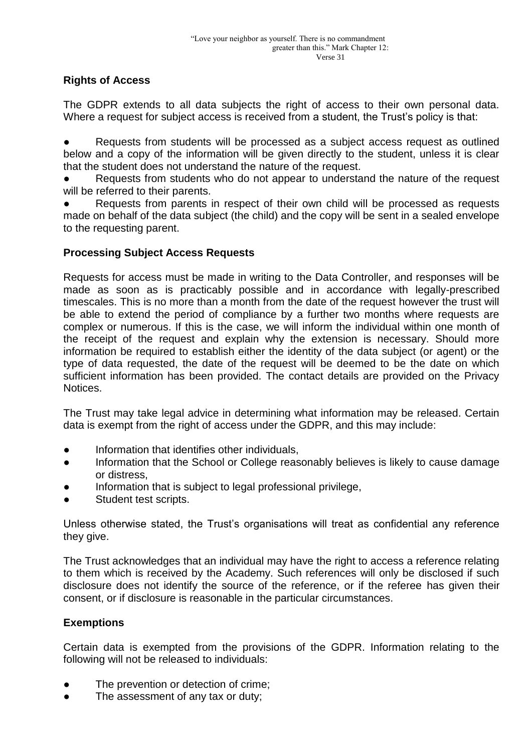# **Rights of Access**

The GDPR extends to all data subjects the right of access to their own personal data. Where a request for subject access is received from a student, the Trust's policy is that:

Requests from students will be processed as a subject access request as outlined below and a copy of the information will be given directly to the student, unless it is clear that the student does not understand the nature of the request.

Requests from students who do not appear to understand the nature of the request will be referred to their parents.

Requests from parents in respect of their own child will be processed as requests made on behalf of the data subject (the child) and the copy will be sent in a sealed envelope to the requesting parent.

## **Processing Subject Access Requests**

Requests for access must be made in writing to the Data Controller, and responses will be made as soon as is practicably possible and in accordance with legally-prescribed timescales. This is no more than a month from the date of the request however the trust will be able to extend the period of compliance by a further two months where requests are complex or numerous. If this is the case, we will inform the individual within one month of the receipt of the request and explain why the extension is necessary. Should more information be required to establish either the identity of the data subject (or agent) or the type of data requested, the date of the request will be deemed to be the date on which sufficient information has been provided. The contact details are provided on the Privacy **Notices** 

The Trust may take legal advice in determining what information may be released. Certain data is exempt from the right of access under the GDPR, and this may include:

- Information that identifies other individuals,
- Information that the School or College reasonably believes is likely to cause damage or distress,
- Information that is subject to legal professional privilege,
- Student test scripts.

Unless otherwise stated, the Trust's organisations will treat as confidential any reference they give.

The Trust acknowledges that an individual may have the right to access a reference relating to them which is received by the Academy. Such references will only be disclosed if such disclosure does not identify the source of the reference, or if the referee has given their consent, or if disclosure is reasonable in the particular circumstances.

# **Exemptions**

Certain data is exempted from the provisions of the GDPR. Information relating to the following will not be released to individuals:

- The prevention or detection of crime:
- The assessment of any tax or duty;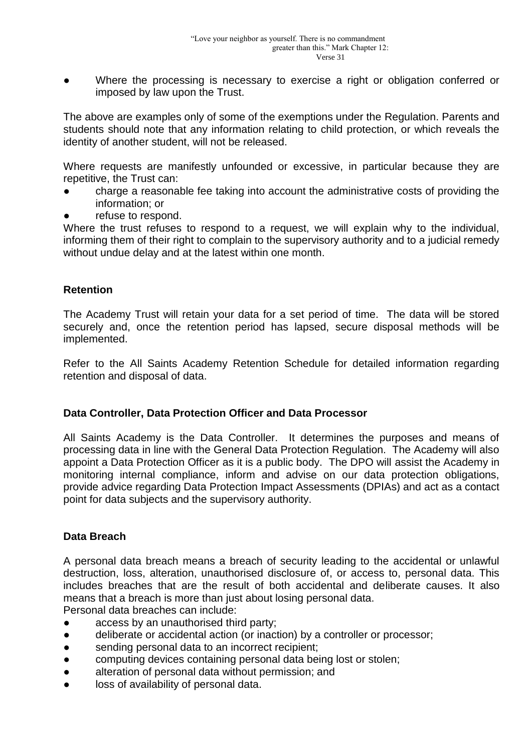Where the processing is necessary to exercise a right or obligation conferred or imposed by law upon the Trust.

The above are examples only of some of the exemptions under the Regulation. Parents and students should note that any information relating to child protection, or which reveals the identity of another student, will not be released.

Where requests are manifestly unfounded or excessive, in particular because they are repetitive, the Trust can:

- charge a reasonable fee taking into account the administrative costs of providing the information; or
- refuse to respond.

Where the trust refuses to respond to a request, we will explain why to the individual, informing them of their right to complain to the supervisory authority and to a judicial remedy without undue delay and at the latest within one month.

## **Retention**

The Academy Trust will retain your data for a set period of time. The data will be stored securely and, once the retention period has lapsed, secure disposal methods will be implemented.

Refer to the All Saints Academy Retention Schedule for detailed information regarding retention and disposal of data.

#### **Data Controller, Data Protection Officer and Data Processor**

All Saints Academy is the Data Controller. It determines the purposes and means of processing data in line with the General Data Protection Regulation. The Academy will also appoint a Data Protection Officer as it is a public body. The DPO will assist the Academy in monitoring internal compliance, inform and advise on our data protection obligations, provide advice regarding Data Protection Impact Assessments (DPIAs) and act as a contact point for data subjects and the supervisory authority.

# **Data Breach**

A personal data breach means a breach of security leading to the accidental or unlawful destruction, loss, alteration, unauthorised disclosure of, or access to, personal data. This includes breaches that are the result of both accidental and deliberate causes. It also means that a breach is more than just about losing personal data.

Personal data breaches can include:

- access by an unauthorised third party;
- deliberate or accidental action (or inaction) by a controller or processor;
- sending personal data to an incorrect recipient;
- computing devices containing personal data being lost or stolen;
- alteration of personal data without permission; and
- loss of availability of personal data.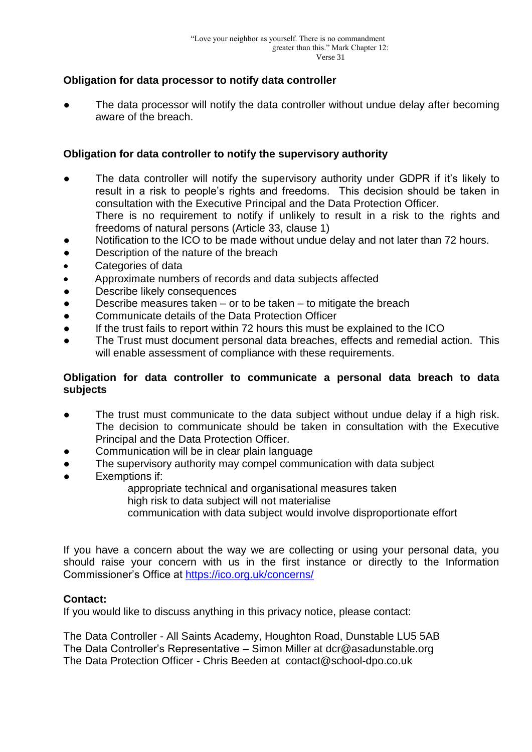## **Obligation for data processor to notify data controller**

The data processor will notify the data controller without undue delay after becoming aware of the breach.

## **Obligation for data controller to notify the supervisory authority**

- The data controller will notify the supervisory authority under GDPR if it's likely to result in a risk to people's rights and freedoms. This decision should be taken in consultation with the Executive Principal and the Data Protection Officer. There is no requirement to notify if unlikely to result in a risk to the rights and
	- freedoms of natural persons (Article 33, clause 1)
- Notification to the ICO to be made without undue delay and not later than 72 hours.
- Description of the nature of the breach
- Categories of data
- Approximate numbers of records and data subjects affected
- Describe likely consequences
- Describe measures taken or to be taken to mitigate the breach
- Communicate details of the Data Protection Officer
- If the trust fails to report within 72 hours this must be explained to the ICO
- The Trust must document personal data breaches, effects and remedial action. This will enable assessment of compliance with these requirements.

#### **Obligation for data controller to communicate a personal data breach to data subjects**

- The trust must communicate to the data subject without undue delay if a high risk. The decision to communicate should be taken in consultation with the Executive Principal and the Data Protection Officer.
- Communication will be in clear plain language
- The supervisory authority may compel communication with data subject
- Exemptions if:
	- appropriate technical and organisational measures taken
	- high risk to data subject will not materialise
	- communication with data subject would involve disproportionate effort

If you have a concern about the way we are collecting or using your personal data, you should raise your concern with us in the first instance or directly to the Information Commissioner's Office at<https://ico.org.uk/concerns/>

#### **Contact:**

If you would like to discuss anything in this privacy notice, please contact:

The Data Controller - All Saints Academy, Houghton Road, Dunstable LU5 5AB The Data Controller's Representative – Simon Miller at dcr@asadunstable.org The Data Protection Officer - Chris Beeden at contact@school-dpo.co.uk